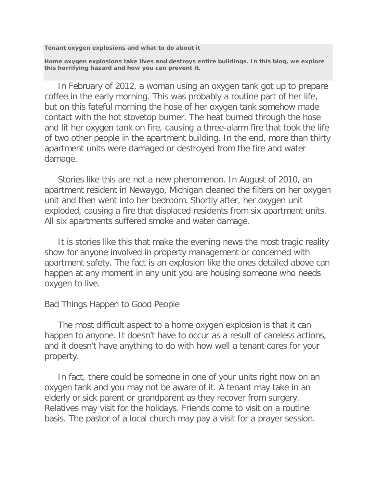**Tenant oxygen explosions and what to do about it**

**Home oxygen explosions take lives and destroys entire buildings. In this blog, we explore this horrifying hazard and how you can prevent it.**

 In February of 2012, a woman using an oxygen tank got up to prepare coffee in the early morning. This was probably a routine part of her life, but on this fateful morning the hose of her oxygen tank somehow made contact with the hot stovetop burner. The heat burned through the hose and lit her oxygen tank on fire, causing a three-alarm fire that took the life of two other people in the apartment building. In the end, more than thirty apartment units were damaged or destroyed from the fire and water damage.

 Stories like this are not a new phenomenon. In August of 2010, an apartment resident in Newaygo, Michigan cleaned the filters on her oxygen unit and then went into her bedroom. Shortly after, her oxygen unit exploded, causing a fire that displaced residents from six apartment units. All six apartments suffered smoke and water damage.

 It is stories like this that make the evening news the most tragic reality show for anyone involved in property management or concerned with apartment safety. The fact is an explosion like the ones detailed above can happen at any moment in any unit you are housing someone who needs oxygen to live.

## Bad Things Happen to Good People

 The most difficult aspect to a home oxygen explosion is that it can happen to anyone. It doesn't have to occur as a result of careless actions, and it doesn't have anything to do with how well a tenant cares for your property.

 In fact, there could be someone in one of your units right now on an oxygen tank and you may not be aware of it. A tenant may take in an elderly or sick parent or grandparent as they recover from surgery. Relatives may visit for the holidays. Friends come to visit on a routine basis. The pastor of a local church may pay a visit for a prayer session.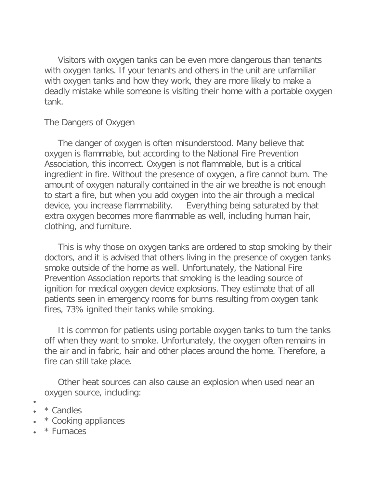Visitors with oxygen tanks can be even more dangerous than tenants with oxygen tanks. If your tenants and others in the unit are unfamiliar with oxygen tanks and how they work, they are more likely to make a deadly mistake while someone is visiting their home with a portable oxygen tank.

## The Dangers of Oxygen

 The danger of oxygen is often misunderstood. Many believe that oxygen is flammable, but according to the National Fire Prevention Association, this incorrect. Oxygen is not flammable, but is a critical ingredient in fire. Without the presence of oxygen, a fire cannot burn. The amount of oxygen naturally contained in the air we breathe is not enough to start a fire, but when you add oxygen into the air through a medical device, you increase flammability. Everything being saturated by that extra oxygen becomes more flammable as well, including human hair, clothing, and furniture.

 This is why those on oxygen tanks are ordered to stop smoking by their doctors, and it is advised that others living in the presence of oxygen tanks smoke outside of the home as well. Unfortunately, the National Fire Prevention Association reports that smoking is the leading source of ignition for medical oxygen device explosions. They estimate that of all patients seen in emergency rooms for burns resulting from oxygen tank fires, 73% ignited their tanks while smoking.

 It is common for patients using portable oxygen tanks to turn the tanks off when they want to smoke. Unfortunately, the oxygen often remains in the air and in fabric, hair and other places around the home. Therefore, a fire can still take place.

 Other heat sources can also cause an explosion when used near an oxygen source, including:

• • \* Candles

- \* Cooking appliances
- \* Furnaces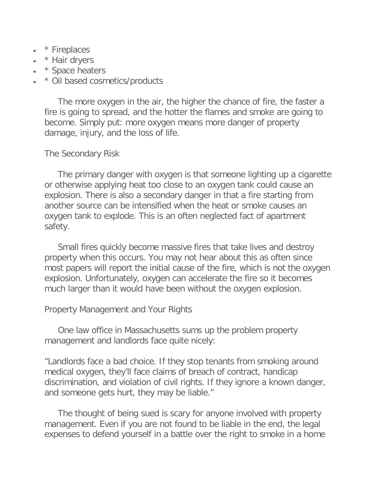- \* Fireplaces
- \* Hair dryers
- \* Space heaters
- \* Oil based cosmetics/products

 The more oxygen in the air, the higher the chance of fire, the faster a fire is going to spread, and the hotter the flames and smoke are going to become. Simply put: more oxygen means more danger of property damage, injury, and the loss of life.

The Secondary Risk

 The primary danger with oxygen is that someone lighting up a cigarette or otherwise applying heat too close to an oxygen tank could cause an explosion. There is also a secondary danger in that a fire starting from another source can be intensified when the heat or smoke causes an oxygen tank to explode. This is an often neglected fact of apartment safety.

 Small fires quickly become massive fires that take lives and destroy property when this occurs. You may not hear about this as often since most papers will report the initial cause of the fire, which is not the oxygen explosion. Unfortunately, oxygen can accelerate the fire so it becomes much larger than it would have been without the oxygen explosion.

## Property Management and Your Rights

 One law office in Massachusetts sums up the problem property management and landlords face quite nicely:

"Landlords face a bad choice. If they stop tenants from smoking around medical oxygen, they'll face claims of breach of contract, handicap discrimination, and violation of civil rights. If they ignore a known danger, and someone gets hurt, they may be liable."

 The thought of being sued is scary for anyone involved with property management. Even if you are not found to be liable in the end, the legal expenses to defend yourself in a battle over the right to smoke in a home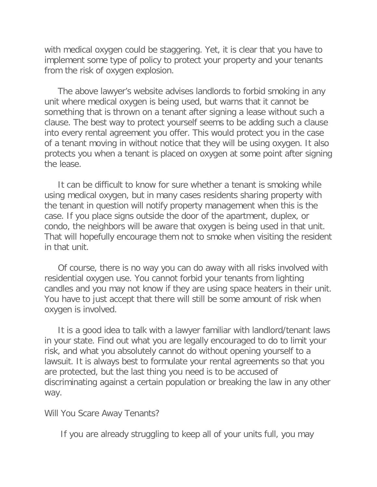with medical oxygen could be staggering. Yet, it is clear that you have to implement some type of policy to protect your property and your tenants from the risk of oxygen explosion.

 The above lawyer's website advises landlords to forbid smoking in any unit where medical oxygen is being used, but warns that it cannot be something that is thrown on a tenant after signing a lease without such a clause. The best way to protect yourself seems to be adding such a clause into every rental agreement you offer. This would protect you in the case of a tenant moving in without notice that they will be using oxygen. It also protects you when a tenant is placed on oxygen at some point after signing the lease.

 It can be difficult to know for sure whether a tenant is smoking while using medical oxygen, but in many cases residents sharing property with the tenant in question will notify property management when this is the case. If you place signs outside the door of the apartment, duplex, or condo, the neighbors will be aware that oxygen is being used in that unit. That will hopefully encourage them not to smoke when visiting the resident in that unit.

 Of course, there is no way you can do away with all risks involved with residential oxygen use. You cannot forbid your tenants from lighting candles and you may not know if they are using space heaters in their unit. You have to just accept that there will still be some amount of risk when oxygen is involved.

 It is a good idea to talk with a lawyer familiar with landlord/tenant laws in your state. Find out what you are legally encouraged to do to limit your risk, and what you absolutely cannot do without opening yourself to a lawsuit. It is always best to formulate your rental agreements so that you are protected, but the last thing you need is to be accused of discriminating against a certain population or breaking the law in any other way.

Will You Scare Away Tenants?

If you are already struggling to keep all of your units full, you may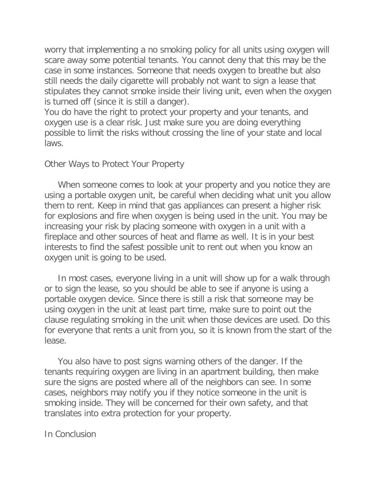worry that implementing a no smoking policy for all units using oxygen will scare away some potential tenants. You cannot deny that this may be the case in some instances. Someone that needs oxygen to breathe but also still needs the daily cigarette will probably not want to sign a lease that stipulates they cannot smoke inside their living unit, even when the oxygen is turned off (since it is still a danger).

You do have the right to protect your property and your tenants, and oxygen use is a clear risk. Just make sure you are doing everything possible to limit the risks without crossing the line of your state and local laws.

## Other Ways to Protect Your Property

 When someone comes to look at your property and you notice they are using a portable oxygen unit, be careful when deciding what unit you allow them to rent. Keep in mind that gas appliances can present a higher risk for explosions and fire when oxygen is being used in the unit. You may be increasing your risk by placing someone with oxygen in a unit with a fireplace and other sources of heat and flame as well. It is in your best interests to find the safest possible unit to rent out when you know an oxygen unit is going to be used.

 In most cases, everyone living in a unit will show up for a walk through or to sign the lease, so you should be able to see if anyone is using a portable oxygen device. Since there is still a risk that someone may be using oxygen in the unit at least part time, make sure to point out the clause regulating smoking in the unit when those devices are used. Do this for everyone that rents a unit from you, so it is known from the start of the lease.

 You also have to post signs warning others of the danger. If the tenants requiring oxygen are living in an apartment building, then make sure the signs are posted where all of the neighbors can see. In some cases, neighbors may notify you if they notice someone in the unit is smoking inside. They will be concerned for their own safety, and that translates into extra protection for your property.

In Conclusion